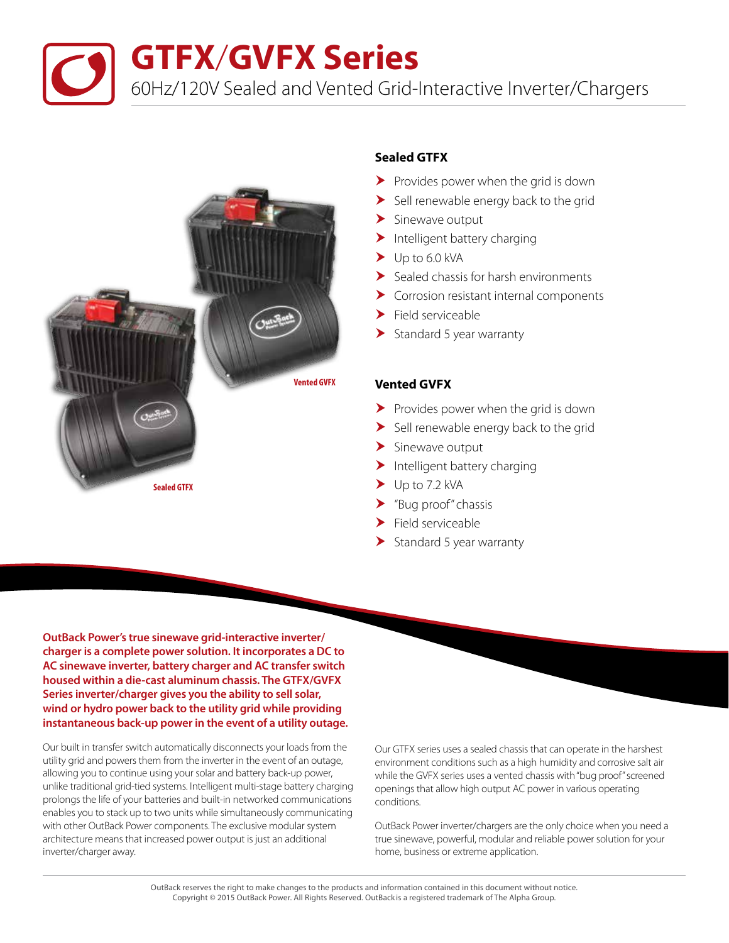**GTFX**/**GVFX Series**

60Hz/120V Sealed and Vented Grid-Interactive Inverter/Chargers



## **Sealed GTFX**

- $\blacktriangleright$  Provides power when the grid is down
- $\blacktriangleright$  Sell renewable energy back to the grid
- $\blacktriangleright$  Sinewave output
- $\blacktriangleright$  Intelligent battery charging
- $\blacktriangleright$  Up to 6.0 kVA
- Sealed chassis for harsh environments
- Corrosion resistant internal components
- $\blacktriangleright$  Field serviceable
- $\blacktriangleright$  Standard 5 year warranty

### **Vented GVFX**

- $\blacktriangleright$  Provides power when the grid is down
- $\blacktriangleright$  Sell renewable energy back to the grid
- $\blacktriangleright$  Sinewave output
- $\blacktriangleright$  Intelligent battery charging
- $\blacktriangleright$  Up to 7.2 kVA
- "Bug proof" chassis
- $\blacktriangleright$  Field serviceable
- $\blacktriangleright$  Standard 5 year warranty

**OutBack Power's true sinewave grid-interactive inverter/ charger is a complete power solution. It incorporates a DC to AC sinewave inverter, battery charger and AC transfer switch housed within a die-cast aluminum chassis. The GTFX/GVFX Series inverter/charger gives you the ability to sell solar, wind or hydro power back to the utility grid while providing instantaneous back-up power in the event of a utility outage.** 

Our built in transfer switch automatically disconnects your loads from the utility grid and powers them from the inverter in the event of an outage, allowing you to continue using your solar and battery back-up power, unlike traditional grid-tied systems. Intelligent multi-stage battery charging prolongs the life of your batteries and built-in networked communications enables you to stack up to two units while simultaneously communicating with other OutBack Power components. The exclusive modular system architecture means that increased power output is just an additional inverter/charger away.

Our GTFX series uses a sealed chassis that can operate in the harshest environment conditions such as a high humidity and corrosive salt air while the GVFX series uses a vented chassis with "bug proof" screened openings that allow high output AC power in various operating conditions.

OutBack Power inverter/chargers are the only choice when you need a true sinewave, powerful, modular and reliable power solution for your home, business or extreme application.

OutBack reserves the right to make changes to the products and information contained in this document without notice. Copyright © 2015 OutBack Power. All Rights Reserved. OutBack is a registered trademark of The Alpha Group.